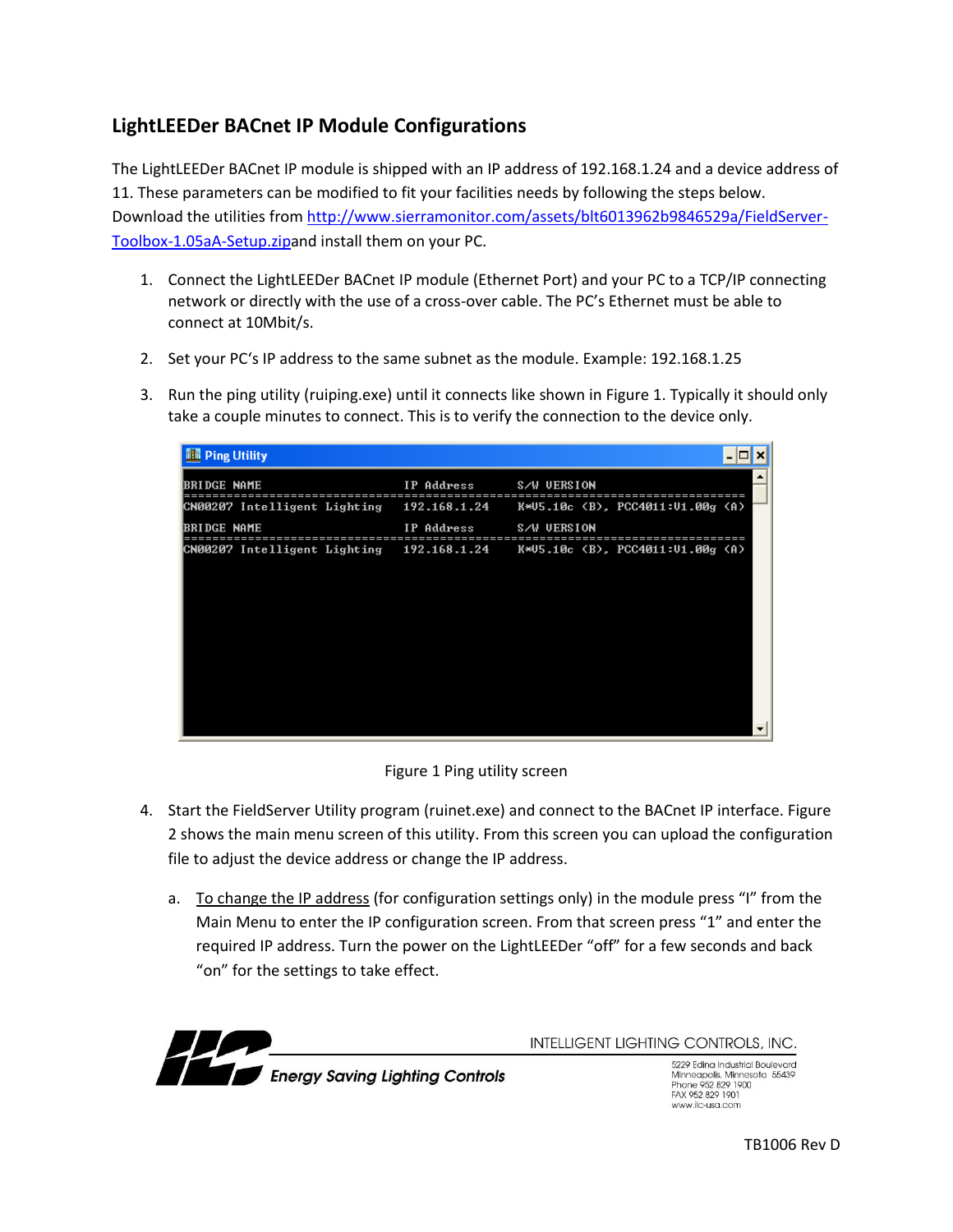## **LightLEEDer BACnet IP Module Configurations**

The LightLEEDer BACnet IP module is shipped with an IP address of 192.168.1.24 and a device address of 11. These parameters can be modified to fit your facilities needs by following the steps below. Download the utilities from [http://www.sierramonitor.com/assets/blt6013962b9846529a/FieldServer-](http://www.sierramonitor.com/assets/blt6013962b9846529a/FieldServer-Toolbox-1.05aA-Setup.zip)[Toolbox-1.05aA-Setup.zipa](http://www.sierramonitor.com/assets/blt6013962b9846529a/FieldServer-Toolbox-1.05aA-Setup.zip)nd install them on your PC.

- 1. Connect the LightLEEDer BACnet IP module (Ethernet Port) and your PC to a TCP/IP connecting network or directly with the use of a cross-over cable. The PC's Ethernet must be able to connect at 10Mbit/s.
- 2. Set your PC's IP address to the same subnet as the module. Example: 192.168.1.25
- 3. Run the ping utility (ruiping.exe) until it connects like shown in Figure 1. Typically it should only take a couple minutes to connect. This is to verify the connection to the device only.

| <b>Ell</b> Ping Utility      |              |                                  | $\overline{\phantom{0}}$ |
|------------------------------|--------------|----------------------------------|--------------------------|
| BRIDGE NAME                  | IP Address   | <b>S/W UERSION</b>               |                          |
| CN00207 Intelligent Lighting | 192.168.1.24 | K*U5.10c (B), PCC4011:U1.00g (A) |                          |
| <b>BRIDGE NAME</b>           | IP Address   | S/W UERSION                      |                          |
| CN00207 Intelligent Lighting | 192.168.1.24 | K*U5.10c (B), PCC4011:U1.00g (A) |                          |
|                              |              |                                  |                          |
|                              |              |                                  |                          |
|                              |              |                                  |                          |
|                              |              |                                  |                          |
|                              |              |                                  |                          |
|                              |              |                                  |                          |
|                              |              |                                  |                          |
|                              |              |                                  |                          |

Figure 1 Ping utility screen

- 4. Start the FieldServer Utility program (ruinet.exe) and connect to the BACnet IP interface. Figure 2 shows the main menu screen of this utility. From this screen you can upload the configuration file to adjust the device address or change the IP address.
	- a. To change the IP address (for configuration settings only) in the module press "I" from the Main Menu to enter the IP configuration screen. From that screen press "1" and enter the required IP address. Turn the power on the LightLEEDer "off" for a few seconds and back "on" for the settings to take effect.



**INTELLIGENT LIGHTING CONTROLS, INC.** 

5229 Edina Industrial Boulevard Minneapolis. Minnesota 55439<br>Phone 952 829 1900 FAX 952 829 1901 www.ilc-usa.com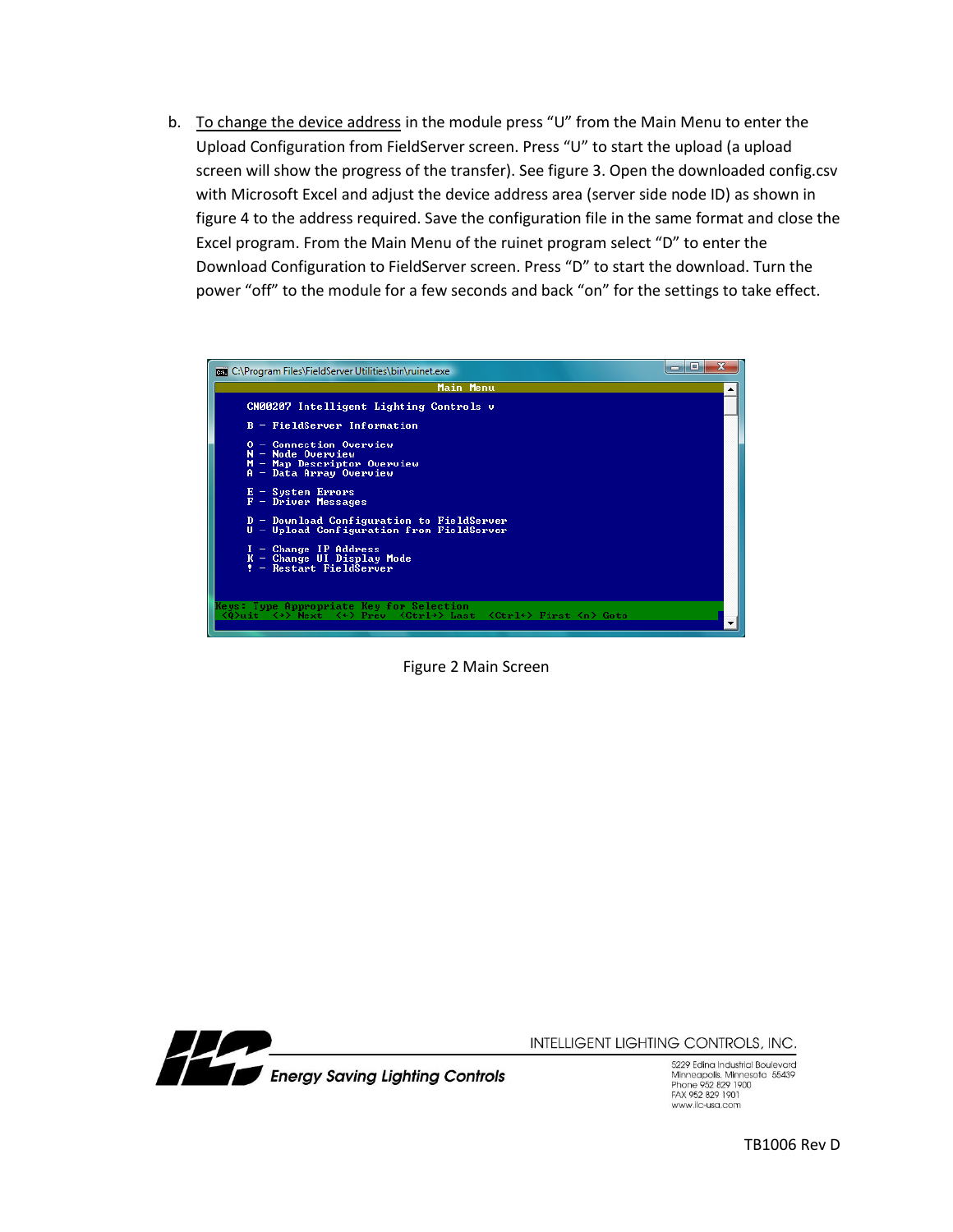b. To change the device address in the module press "U" from the Main Menu to enter the Upload Configuration from FieldServer screen. Press "U" to start the upload (a upload screen will show the progress of the transfer). See figure 3. Open the downloaded config.csv with Microsoft Excel and adjust the device address area (server side node ID) as shown in figure 4 to the address required. Save the configuration file in the same format and close the Excel program. From the Main Menu of the ruinet program select "D" to enter the Download Configuration to FieldServer screen. Press "D" to start the download. Turn the power "off" to the module for a few seconds and back "on" for the settings to take effect.



Figure 2 Main Screen



INTELLIGENT LIGHTING CONTROLS, INC.

5229 Edina Industrial Boulevard Minneapolis. Minnesota 55439<br>Phone 952 829 1900 FAX 952 829 1901 www.ilc-usa.com